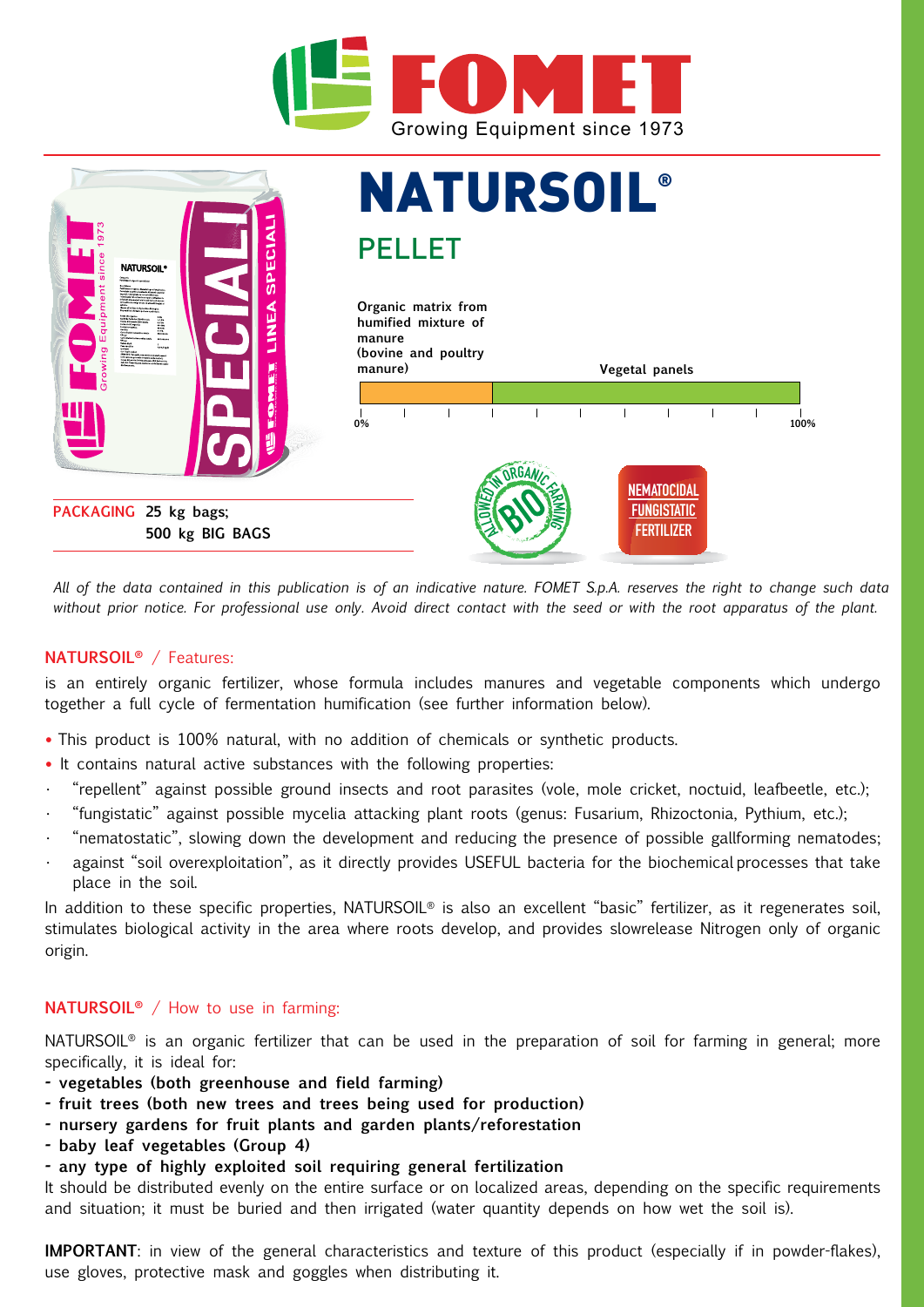



*All of the data contained in this publication is of an indicative nature. FOMET S.p.A. reserves the right to change such data without prior notice. For professional use only. Avoid direct contact with the seed or with the root apparatus of the plant.*

## **NATURSOIL®** / Features:

is an entirely organic fertilizer, whose formula includes manures and vegetable components which undergo together a full cycle of fermentation humification (see further information below).

- **•** This product is 100% natural, with no addition of chemicals or synthetic products.
- **•** It contains natural active substances with the following properties:
- "repellent" against possible ground insects and root parasites (vole, mole cricket, noctuid, leafbeetle, etc.);
- "fungistatic" against possible mycelia attacking plant roots (genus: Fusarium, Rhizoctonia, Pythium, etc.);
- "nematostatic", slowing down the development and reducing the presence of possible gallforming nematodes; against "soil overexploitation", as it directly provides USEFUL bacteria for the biochemical processes that take place in the soil.

In addition to these specific properties, NATURSOIL<sup>®</sup> is also an excellent "basic" fertilizer, as it regenerates soil, stimulates biological activity in the area where roots develop, and provides slowrelease Nitrogen only of organic origin.

#### **NATURSOIL®** / How to use in farming:

NATURSOIL<sup>®</sup> is an organic fertilizer that can be used in the preparation of soil for farming in general; more specifically, it is ideal for:

- **vegetables (both greenhouse and field farming)**
- **fruit trees (both new trees and trees being used for production)**
- **nursery gardens for fruit plants and garden plants/reforestation**
- **baby leaf vegetables (Group 4)**
- **any type of highly exploited soil requiring general fertilization**

It should be distributed evenly on the entire surface or on localized areas, depending on the specific requirements and situation; it must be buried and then irrigated (water quantity depends on how wet the soil is).

**IMPORTANT**: in view of the general characteristics and texture of this product (especially if in powder-flakes), use gloves, protective mask and goggles when distributing it.